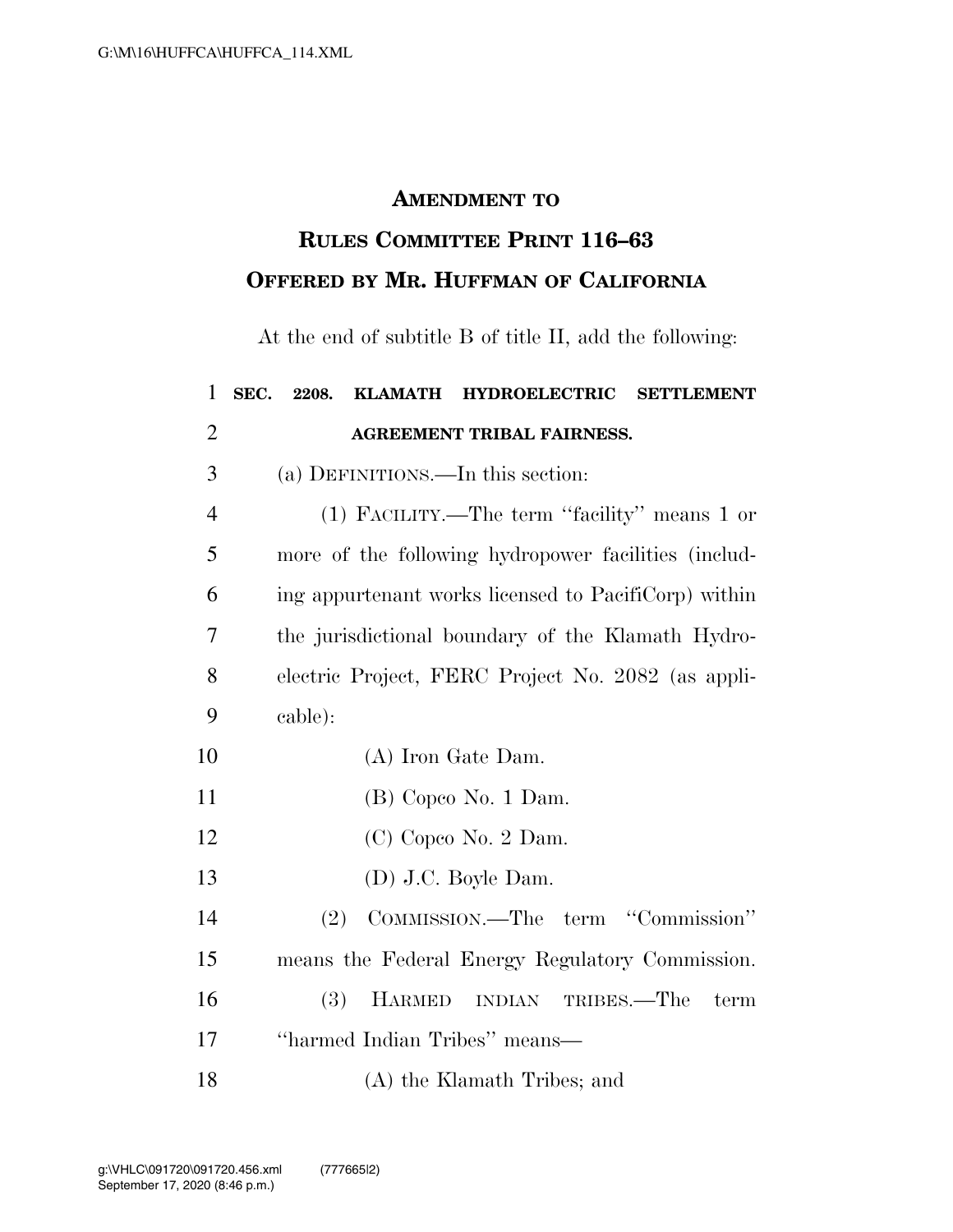## **AMENDMENT TO**

## **RULES COMMITTEE PRINT 116–63 OFFERED BY MR. HUFFMAN OF CALIFORNIA**

At the end of subtitle B of title II, add the following:

| $\mathbf{1}$   | SEC.<br><b>HYDROELECTRIC</b><br>2208.<br><b>KLAMATH</b><br><b>SETTLEMENT</b> |
|----------------|------------------------------------------------------------------------------|
| $\overline{2}$ | <b>AGREEMENT TRIBAL FAIRNESS.</b>                                            |
| 3              | (a) DEFINITIONS.—In this section:                                            |
| $\overline{4}$ | (1) FACILITY.—The term "facility" means 1 or                                 |
| 5              | more of the following hydropower facilities (includ-                         |
| 6              | ing appurtenant works licensed to PacifiCorp) within                         |
| $\overline{7}$ | the jurisdictional boundary of the Klamath Hydro-                            |
| 8              | electric Project, FERC Project No. 2082 (as appli-                           |
| 9              | cable):                                                                      |
| 10             | (A) Iron Gate Dam.                                                           |
| 11             | $(B)$ Copeo No. 1 Dam.                                                       |
| 12             | (C) Copeo No. 2 Dam.                                                         |
| 13             | $(D)$ J.C. Boyle Dam.                                                        |
| 14             | COMMISSION.—The term "Commission"<br>(2)                                     |
| 15             | means the Federal Energy Regulatory Commission.                              |
| 16             | (3)<br><b>HARMED</b><br>INDIAN TRIBES.—The<br>term                           |
| 17             | "harmed Indian Tribes" means—                                                |
| 18             | (A) the Klamath Tribes; and                                                  |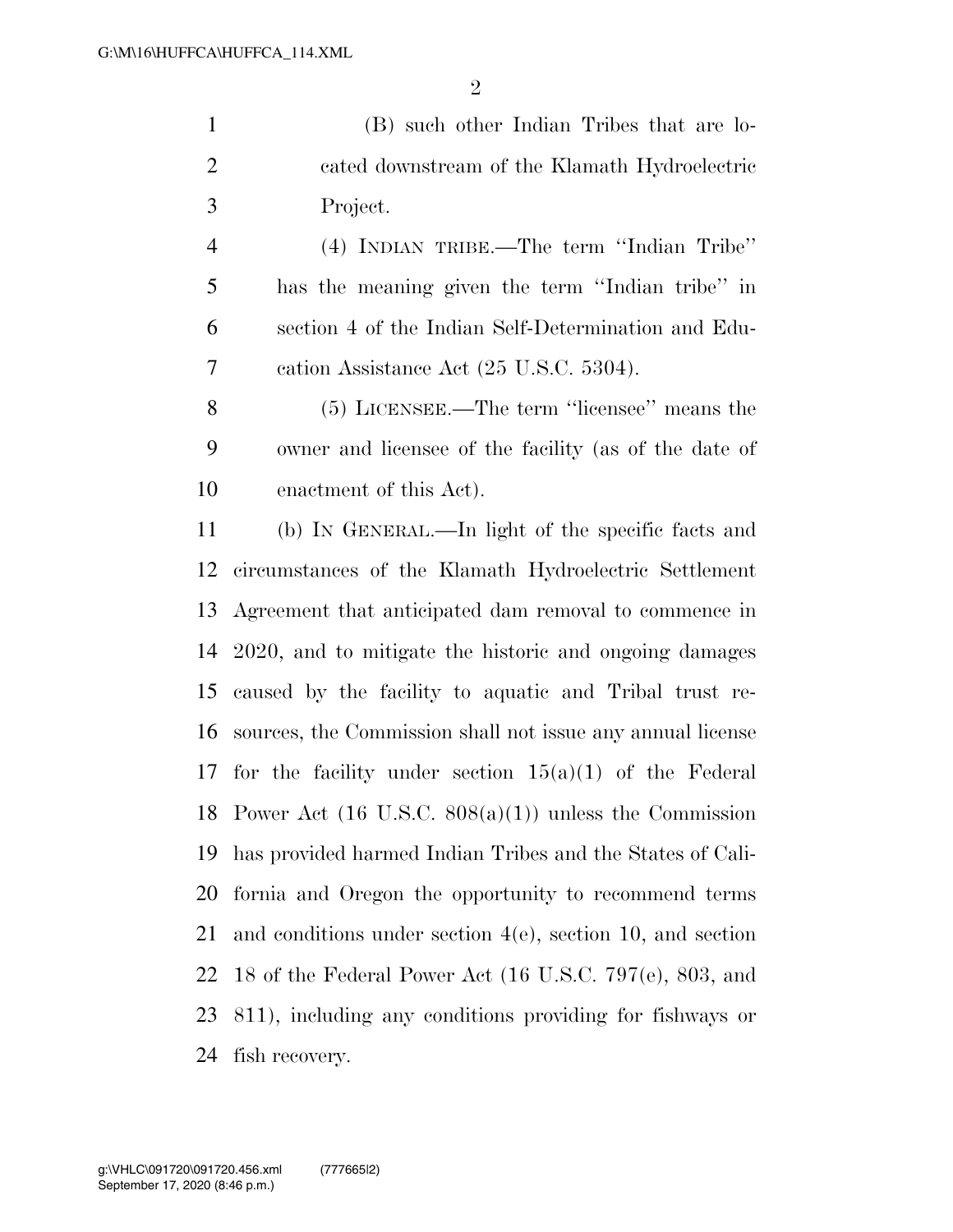(B) such other Indian Tribes that are lo- cated downstream of the Klamath Hydroelectric Project.

 (4) INDIAN TRIBE.—The term ''Indian Tribe'' has the meaning given the term ''Indian tribe'' in section 4 of the Indian Self-Determination and Edu-cation Assistance Act (25 U.S.C. 5304).

 (5) LICENSEE.—The term ''licensee'' means the owner and licensee of the facility (as of the date of enactment of this Act).

 (b) IN GENERAL.—In light of the specific facts and circumstances of the Klamath Hydroelectric Settlement Agreement that anticipated dam removal to commence in 2020, and to mitigate the historic and ongoing damages caused by the facility to aquatic and Tribal trust re- sources, the Commission shall not issue any annual license 17 for the facility under section  $15(a)(1)$  of the Federal Power Act (16 U.S.C. 808(a)(1)) unless the Commission has provided harmed Indian Tribes and the States of Cali- fornia and Oregon the opportunity to recommend terms and conditions under section 4(e), section 10, and section 18 of the Federal Power Act (16 U.S.C. 797(e), 803, and 811), including any conditions providing for fishways or fish recovery.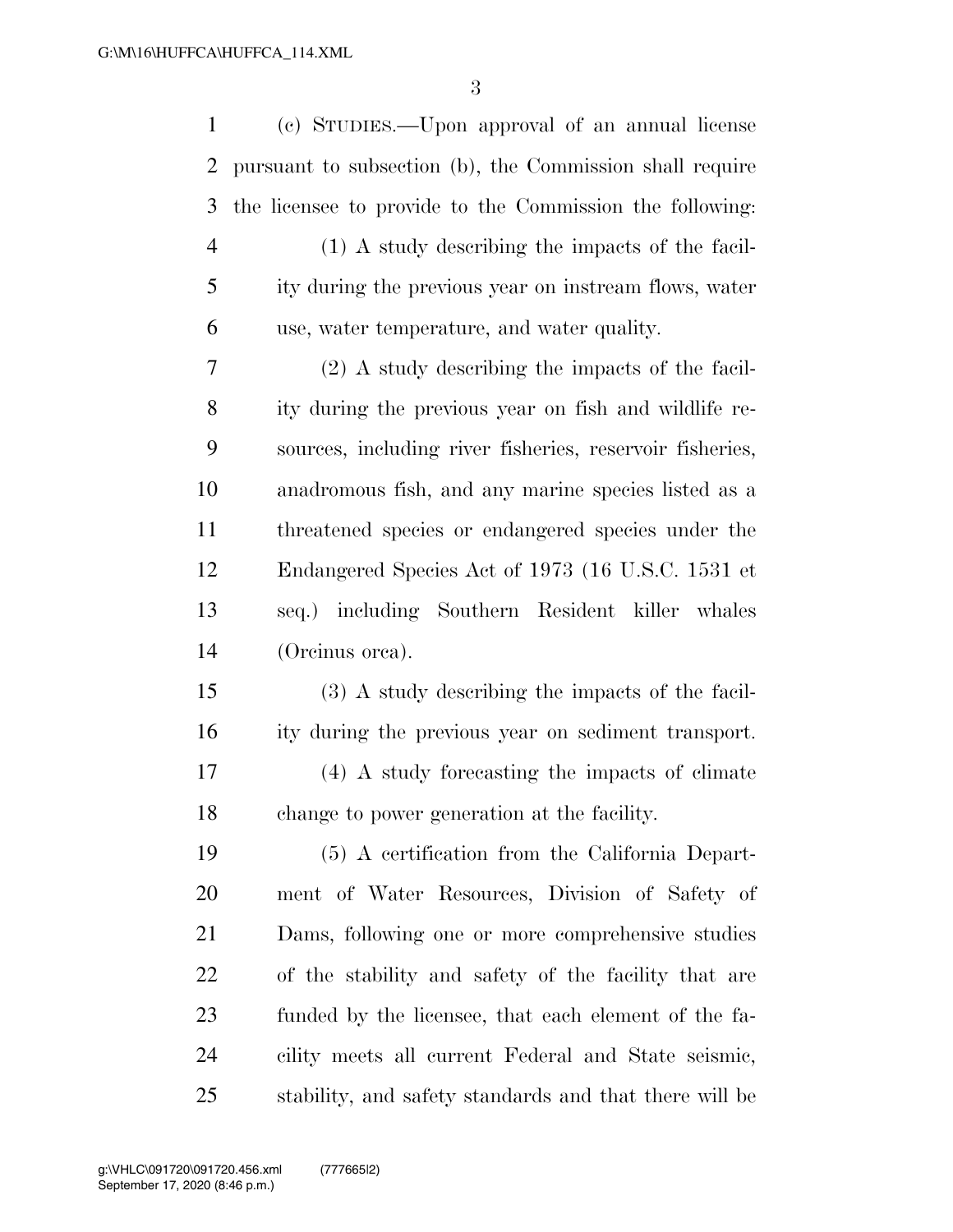(c) STUDIES.—Upon approval of an annual license pursuant to subsection (b), the Commission shall require the licensee to provide to the Commission the following: (1) A study describing the impacts of the facil- ity during the previous year on instream flows, water use, water temperature, and water quality. (2) A study describing the impacts of the facil- ity during the previous year on fish and wildlife re- sources, including river fisheries, reservoir fisheries, anadromous fish, and any marine species listed as a threatened species or endangered species under the Endangered Species Act of 1973 (16 U.S.C. 1531 et seq.) including Southern Resident killer whales (Orcinus orca). (3) A study describing the impacts of the facil- ity during the previous year on sediment transport. (4) A study forecasting the impacts of climate change to power generation at the facility. (5) A certification from the California Depart- ment of Water Resources, Division of Safety of Dams, following one or more comprehensive studies of the stability and safety of the facility that are funded by the licensee, that each element of the fa- cility meets all current Federal and State seismic, stability, and safety standards and that there will be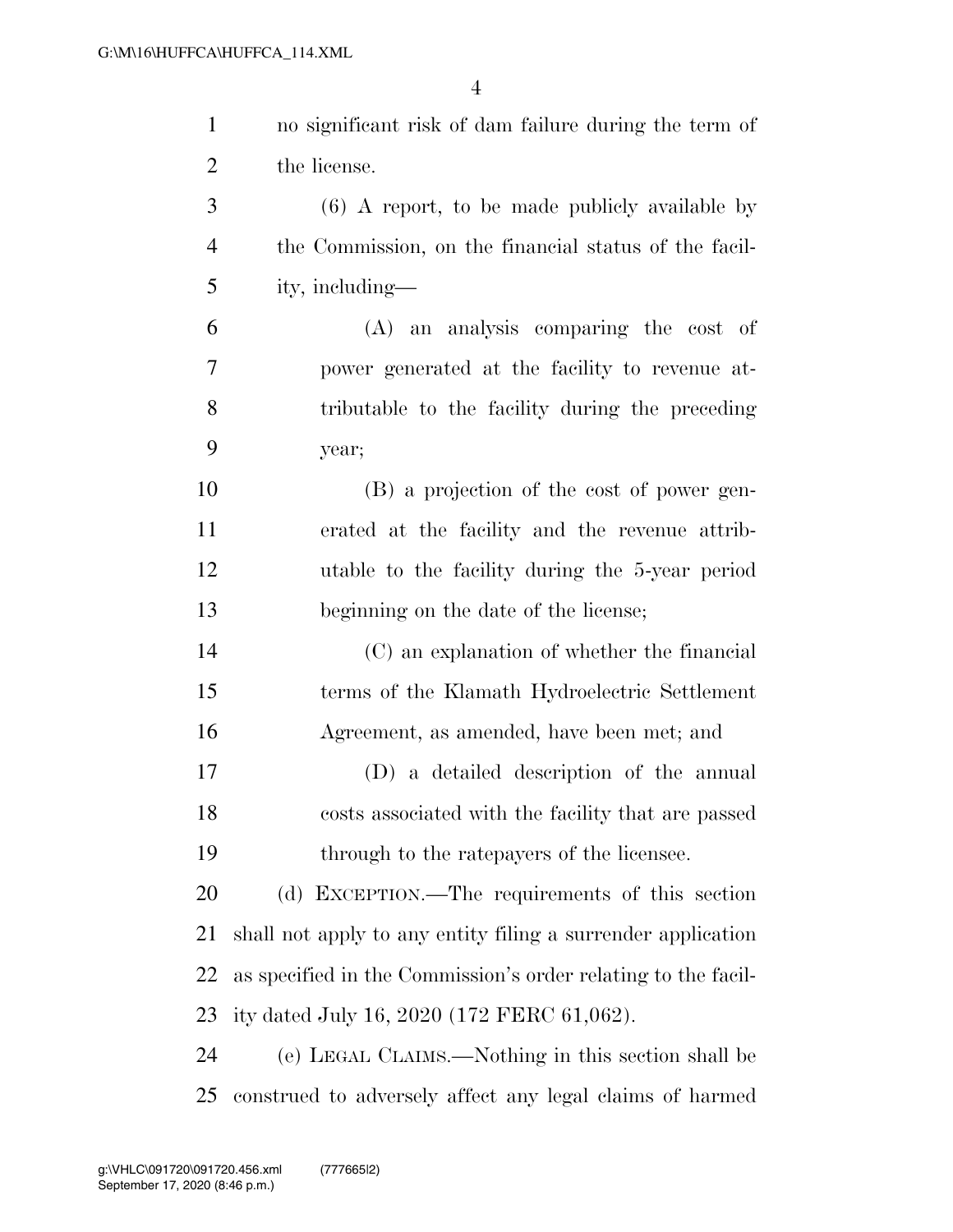| $\mathbf{1}$   | no significant risk of dam failure during the term of         |
|----------------|---------------------------------------------------------------|
| $\overline{2}$ | the license.                                                  |
| 3              | $(6)$ A report, to be made publicly available by              |
| $\overline{4}$ | the Commission, on the financial status of the facil-         |
| 5              | ity, including—                                               |
| 6              | (A) an analysis comparing the cost of                         |
| $\tau$         | power generated at the facility to revenue at-                |
| 8              | tributable to the facility during the preceding               |
| 9              | year;                                                         |
| 10             | (B) a projection of the cost of power gen-                    |
| 11             | erated at the facility and the revenue attrib-                |
| 12             | utable to the facility during the 5-year period               |
| 13             | beginning on the date of the license;                         |
| 14             | (C) an explanation of whether the financial                   |
| 15             | terms of the Klamath Hydroelectric Settlement                 |
| 16             | Agreement, as amended, have been met; and                     |
| 17             | (D) a detailed description of the annual                      |
| 18             | costs associated with the facility that are passed            |
| 19             | through to the rate payers of the licensee.                   |
| 20             | (d) EXCEPTION.—The requirements of this section               |
| 21             | shall not apply to any entity filing a surrender application  |
| 22             | as specified in the Commission's order relating to the facil- |
| 23             | ity dated July 16, 2020 (172 FERC 61,062).                    |
| 24             | (e) LEGAL CLAIMS.—Nothing in this section shall be            |
| 25             | construed to adversely affect any legal claims of harmed      |